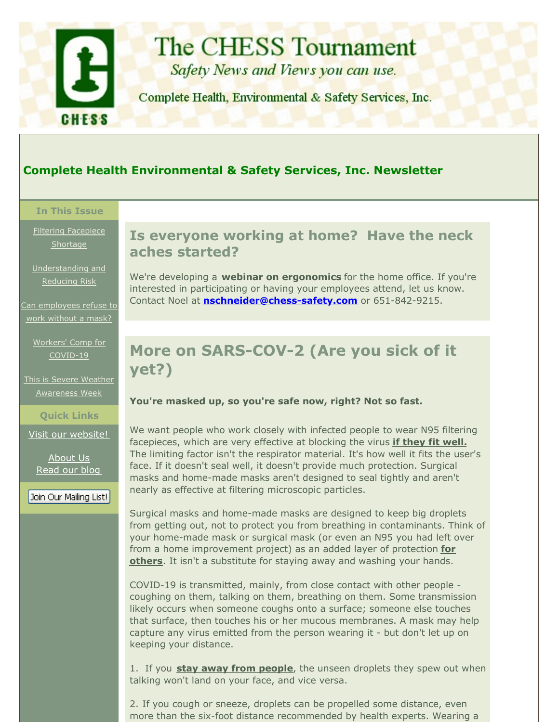<span id="page-0-0"></span>

# **The CHESS Tournament**

Safety News and Views you can use.

Complete Health, Environmental & Safety Services, Inc.

## **Complete Health Environmental & Safety Services, Inc. Newsletter**

#### **In This Issue**

Filtering [Facepiece](#page-0-0) **Shortage** 

[Understanding](#page-0-0) and Reducing Risk

Can [employees](#page-0-0) refuse to work without a mask?

Workers' Comp for [COVID-19](#page-0-0)

This is Severe Weather [Awareness](#page-0-0) Week

**Quick Links**

Visit our [website!](http://r20.rs6.net/tn.jsp?f=0013CmmVvqcDV6_7cIY7eaIMYtZ94w3yLyHA-u6YDascKDe8LktCkXfA_8jvgh_-wBEOR-QeEERbtW041pRYJzM2lK-I5uuSvNdUb9vBJYbha6pXrjebE2Ox8vCTIL5zocUvFfX9S9KLf99yaXRzWHoWTIXuiAAkZolEBZyh5Rq2No=&c=&ch=)

[About](http://r20.rs6.net/tn.jsp?f=0013CmmVvqcDV6_7cIY7eaIMYtZ94w3yLyHA-u6YDascKDe8LktCkXfAwsPWUvVa7me0vB791Mvx2YQP8g9JCDuInQXie4LTgbaH5kNHfarV-EHaEq2_aVQ2iXZk25pK7WbAQB7QxzbQ0A0ZooyAerjdgSR_9ROxWj7qeQYEVcVs9PmrGe_4_g2FUAWn_OfbRh8&c=&ch=) Us [Read](http://r20.rs6.net/tn.jsp?f=0013CmmVvqcDV6_7cIY7eaIMYtZ94w3yLyHA-u6YDascKDe8LktCkXfA0974KVVnPgIEV9uRwcxKERS46oDhyTxuz_w4kOYvPnuX6QgqFagoHEgXg_0uFUBzkyFeiQOZGkgbyysXF9Y1pZbTTG5EcPcZYB_XYc7i_qnIP6ay4ZTD86VErB2nJJEcw==&c=&ch=) our blog

Join Our Mailing List!

## **Is everyone working at home? Have the neck aches started?**

We're developing a **webinar on ergonomics** for the home office. If you're interested in participating or having your employees attend, let us know. Contact Noel at **[nschneider@chess-safety.com](mailto:nschneider@chess-safety.com)** or 651-842-9215.

# **More on SARS-COV-2 (Are you sick of it yet?)**

#### **You're masked up, so you're safe now, right? Not so fast.**

We want people who work closely with infected people to wear N95 filtering facepieces, which are very effective at blocking the virus **if they fit well.** The limiting factor isn't the respirator material. It's how well it fits the user's face. If it doesn't seal well, it doesn't provide much protection. Surgical masks and home-made masks aren't designed to seal tightly and aren't nearly as effective at filtering microscopic particles.

Surgical masks and home-made masks are designed to keep big droplets from getting out, not to protect you from breathing in contaminants. Think of your home-made mask or surgical mask (or even an N95 you had left over from a home improvement project) as an added layer of protection **for others**. It isn't a substitute for staying away and washing your hands.

COVID-19 is transmitted, mainly, from close contact with other people coughing on them, talking on them, breathing on them. Some transmission likely occurs when someone coughs onto a surface; someone else touches that surface, then touches his or her mucous membranes. A mask may help capture any virus emitted from the person wearing it - but don't let up on keeping your distance.

1. If you **stay away from people**, the unseen droplets they spew out when talking won't land on your face, and vice versa.

2. If you cough or sneeze, droplets can be propelled some distance, even more than the six-foot distance recommended by health experts. Wearing a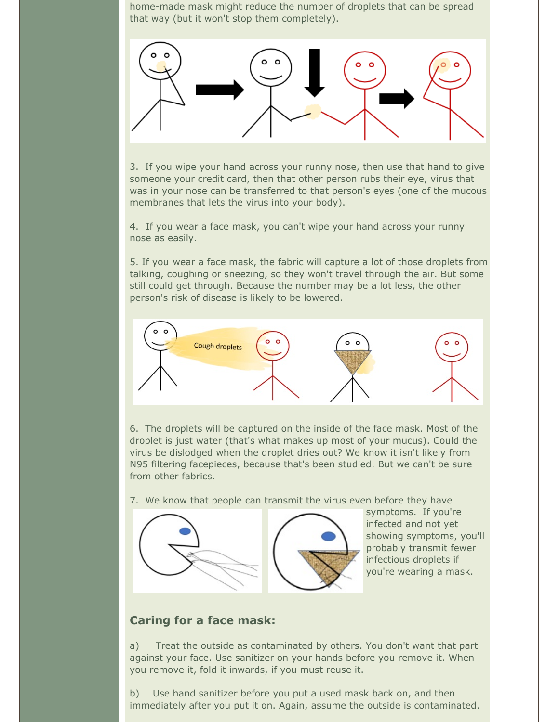home-made mask might reduce the number of droplets that can be spread that way (but it won't stop them completely).



3. If you wipe your hand across your runny nose, then use that hand to give someone your credit card, then that other person rubs their eye, virus that was in your nose can be transferred to that person's eyes (one of the mucous membranes that lets the virus into your body).

4. If you wear a face mask, you can't wipe your hand across your runny nose as easily.

5. If you wear a face mask, the fabric will capture a lot of those droplets from talking, coughing or sneezing, so they won't travel through the air. But some still could get through. Because the number may be a lot less, the other person's risk of disease is likely to be lowered.



6. The droplets will be captured on the inside of the face mask. Most of the droplet is just water (that's what makes up most of your mucus). Could the virus be dislodged when the droplet dries out? We know it isn't likely from N95 filtering facepieces, because that's been studied. But we can't be sure from other fabrics.

7. We know that people can transmit the virus even before they have



symptoms. If you're infected and not yet showing symptoms, you'll probably transmit fewer infectious droplets if you're wearing a mask.

### **Caring for a face mask:**

a) Treat the outside as contaminated by others. You don't want that part against your face. Use sanitizer on your hands before you remove it. When you remove it, fold it inwards, if you must reuse it.

b) Use hand sanitizer before you put a used mask back on, and then immediately after you put it on. Again, assume the outside is contaminated.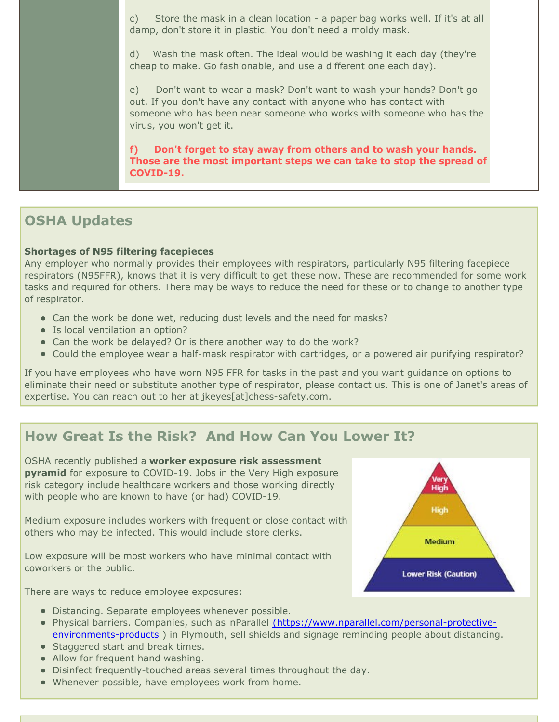c) Store the mask in a clean location - a paper bag works well. If it's at all damp, don't store it in plastic. You don't need a moldy mask.

d) Wash the mask often. The ideal would be washing it each day (they're cheap to make. Go fashionable, and use a different one each day).

e) Don't want to wear a mask? Don't want to wash your hands? Don't go out. If you don't have any contact with anyone who has contact with someone who has been near someone who works with someone who has the virus, you won't get it.

**f) Don't forget to stay away from others and to wash your hands. Those are the most important steps we can take to stop the spread of COVID-19.**

# **OSHA Updates**

#### **Shortages of N95 filtering facepieces**

Any employer who normally provides their employees with respirators, particularly N95 filtering facepiece respirators (N95FFR), knows that it is very difficult to get these now. These are recommended for some work tasks and required for others. There may be ways to reduce the need for these or to change to another type of respirator.

- Can the work be done wet, reducing dust levels and the need for masks?
- Is local ventilation an option?
- Can the work be delayed? Or is there another way to do the work?
- Could the employee wear a half-mask respirator with cartridges, or a powered air purifying respirator?

If you have employees who have worn N95 FFR for tasks in the past and you want guidance on options to eliminate their need or substitute another type of respirator, please contact us. This is one of Janet's areas of expertise. You can reach out to her at jkeyes[at]chess-safety.com.

# **How Great Is the Risk? And How Can You Lower It?**

OSHA recently published a **worker exposure risk assessment pyramid** for exposure to COVID-19. Jobs in the Very High exposure risk category include healthcare workers and those working directly with people who are known to have (or had) COVID-19.

Medium exposure includes workers with frequent or close contact with others who may be infected. This would include store clerks.

Low exposure will be most workers who have minimal contact with coworkers or the public.

There are ways to reduce employee exposures:

- Distancing. Separate employees whenever possible.
- Physical barriers. Companies, such as nParallel [\(https://www.nparallel.com/personal-protective](http://r20.rs6.net/tn.jsp?f=0013CmmVvqcDV6_7cIY7eaIMYtZ94w3yLyHA-u6YDascKDe8LktCkXfA9-2MBKtzBA4phM9JaRxrwToS6hOIxXlYi3roO0tNngMRQz72FZhjhoqNWny9rmzYbAec07knkk6BTieVMBV7-zFdz7KZCf8nTAzHu-Qxx25GOCrK_xLcpR-N_PWDmEKGlIFpjt8tPEG47nFT8eyjJefU69HInw4FAObiQvPZuisfM_MnwEAk0U=&c=&ch=)environments-products ) in Plymouth, sell shields and signage reminding people about distancing.
- Staggered start and break times.
- Allow for frequent hand washing.
- Disinfect frequently-touched areas several times throughout the day.
- Whenever possible, have employees work from home.